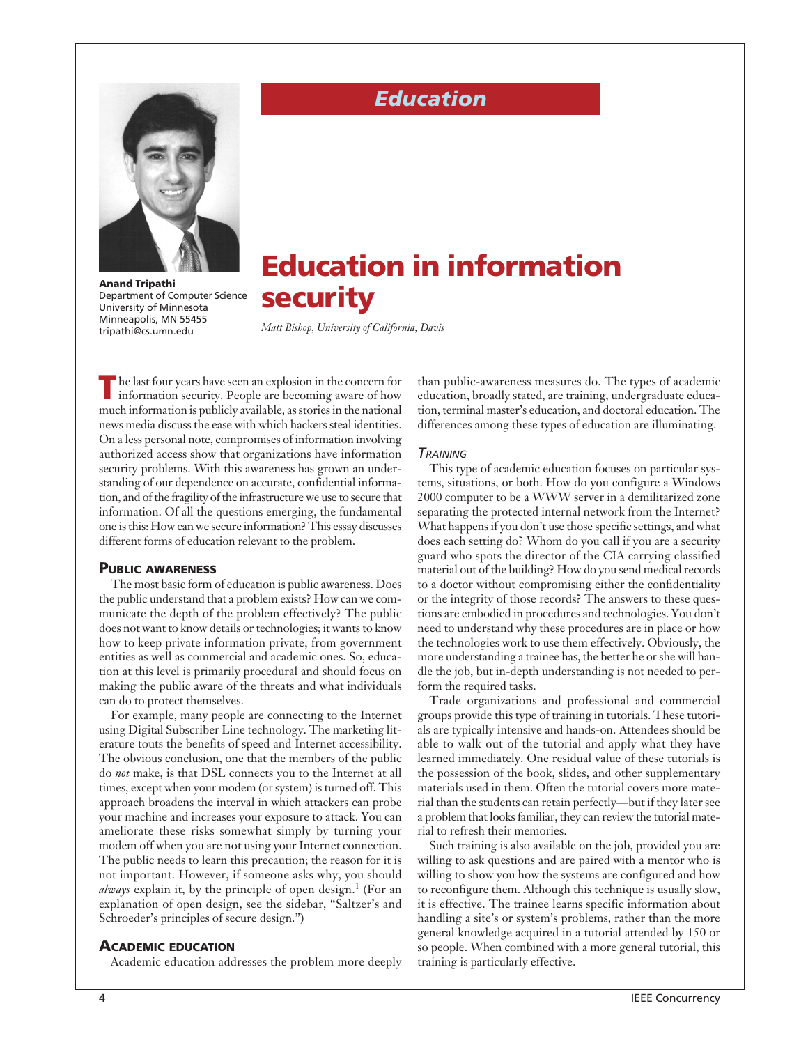# *Education*



**Anand Tripathi** Department of Computer Science University of Minnesota Minneapolis, MN 55455 tripathi@cs.umn.edu

# **Education in information security**

*Matt Bishop, University of California, Davis*

The last four years have seen an explosion in the concern for information security. People are becoming aware of how much information is publicly available, as stories in the national news media discuss the ease with which hackers steal identities. On a less personal note, compromises of information involving authorized access show that organizations have information security problems. With this awareness has grown an understanding of our dependence on accurate, confidential information, and of the fragility of the infrastructure we use to secure that information. Of all the questions emerging, the fundamental one is this: How can we secure information? This essay discusses different forms of education relevant to the problem.

## **PUBLIC AWARENESS**

The most basic form of education is public awareness. Does the public understand that a problem exists? How can we communicate the depth of the problem effectively? The public does not want to know details or technologies; it wants to know how to keep private information private, from government entities as well as commercial and academic ones. So, education at this level is primarily procedural and should focus on making the public aware of the threats and what individuals can do to protect themselves.

For example, many people are connecting to the Internet using Digital Subscriber Line technology. The marketing literature touts the benefits of speed and Internet accessibility. The obvious conclusion, one that the members of the public do *not* make, is that DSL connects you to the Internet at all times, except when your modem (or system) is turned off. This approach broadens the interval in which attackers can probe your machine and increases your exposure to attack. You can ameliorate these risks somewhat simply by turning your modem off when you are not using your Internet connection. The public needs to learn this precaution; the reason for it is not important. However, if someone asks why, you should *always* explain it, by the principle of open design.<sup>1</sup> (For an explanation of open design, see the sidebar, "Saltzer's and Schroeder's principles of secure design.")

## **ACADEMIC EDUCATION**

Academic education addresses the problem more deeply

than public-awareness measures do. The types of academic education, broadly stated, are training, undergraduate education, terminal master's education, and doctoral education. The differences among these types of education are illuminating.

#### *TRAINING*

This type of academic education focuses on particular systems, situations, or both. How do you configure a Windows 2000 computer to be a WWW server in a demilitarized zone separating the protected internal network from the Internet? What happens if you don't use those specific settings, and what does each setting do? Whom do you call if you are a security guard who spots the director of the CIA carrying classified material out of the building? How do you send medical records to a doctor without compromising either the confidentiality or the integrity of those records? The answers to these questions are embodied in procedures and technologies. You don't need to understand why these procedures are in place or how the technologies work to use them effectively. Obviously, the more understanding a trainee has, the better he or she will handle the job, but in-depth understanding is not needed to perform the required tasks.

Trade organizations and professional and commercial groups provide this type of training in tutorials. These tutorials are typically intensive and hands-on. Attendees should be able to walk out of the tutorial and apply what they have learned immediately. One residual value of these tutorials is the possession of the book, slides, and other supplementary materials used in them. Often the tutorial covers more material than the students can retain perfectly—but if they later see a problem that looks familiar, they can review the tutorial material to refresh their memories.

Such training is also available on the job, provided you are willing to ask questions and are paired with a mentor who is willing to show you how the systems are configured and how to reconfigure them. Although this technique is usually slow, it is effective. The trainee learns specific information about handling a site's or system's problems, rather than the more general knowledge acquired in a tutorial attended by 150 or so people. When combined with a more general tutorial, this training is particularly effective.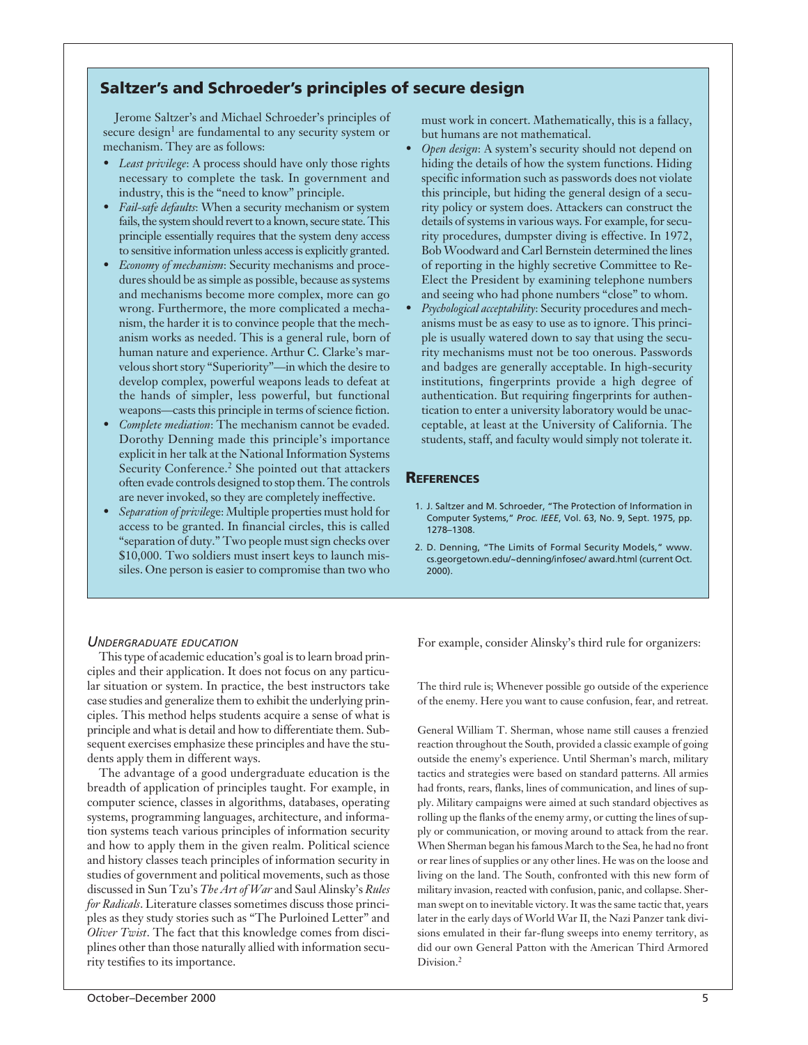# **Saltzer's and Schroeder's principles of secure design**

Jerome Saltzer's and Michael Schroeder's principles of secure design<sup>1</sup> are fundamental to any security system or mechanism. They are as follows:

- *Least privilege*: A process should have only those rights necessary to complete the task. In government and industry, this is the "need to know" principle.
- *Fail-safe defaults*: When a security mechanism or system fails, the system should revert to a known, secure state. This principle essentially requires that the system deny access to sensitive information unless access is explicitly granted.
- *Economy of mechanism*: Security mechanisms and procedures should be as simple as possible, because as systems and mechanisms become more complex, more can go wrong. Furthermore, the more complicated a mechanism, the harder it is to convince people that the mechanism works as needed. This is a general rule, born of human nature and experience. Arthur C. Clarke's marvelous short story "Superiority"—in which the desire to develop complex, powerful weapons leads to defeat at the hands of simpler, less powerful, but functional weapons—casts this principle in terms of science fiction.
- *Complete mediation*: The mechanism cannot be evaded. Dorothy Denning made this principle's importance explicit in her talk at the National Information Systems Security Conference.<sup>2</sup> She pointed out that attackers often evade controls designed to stop them. The controls are never invoked, so they are completely ineffective.
- *Separation of privileg*e: Multiple properties must hold for access to be granted. In financial circles, this is called "separation of duty." Two people must sign checks over \$10,000. Two soldiers must insert keys to launch missiles. One person is easier to compromise than two who

must work in concert. Mathematically, this is a fallacy, but humans are not mathematical.

- *Open design*: A system's security should not depend on hiding the details of how the system functions. Hiding specific information such as passwords does not violate this principle, but hiding the general design of a security policy or system does. Attackers can construct the details of systems in various ways. For example, for security procedures, dumpster diving is effective. In 1972, Bob Woodward and Carl Bernstein determined the lines of reporting in the highly secretive Committee to Re-Elect the President by examining telephone numbers and seeing who had phone numbers "close" to whom.
- *Psychological acceptability*: Security procedures and mechanisms must be as easy to use as to ignore. This principle is usually watered down to say that using the security mechanisms must not be too onerous. Passwords and badges are generally acceptable. In high-security institutions, fingerprints provide a high degree of authentication. But requiring fingerprints for authentication to enter a university laboratory would be unacceptable, at least at the University of California. The students, staff, and faculty would simply not tolerate it.

#### **REFERENCES**

- 1. J. Saltzer and M. Schroeder, "The Protection of Information in Computer Systems," *Proc. IEEE*, Vol. 63, No. 9, Sept. 1975, pp. 1278–1308.
- 2. D. Denning, "The Limits of Formal Security Models," www. cs.georgetown.edu/~denning/infosec/ award.html (current Oct. 2000).

#### *UNDERGRADUATE EDUCATION*

This type of academic education's goal is to learn broad principles and their application. It does not focus on any particular situation or system. In practice, the best instructors take case studies and generalize them to exhibit the underlying principles. This method helps students acquire a sense of what is principle and what is detail and how to differentiate them. Subsequent exercises emphasize these principles and have the students apply them in different ways.

The advantage of a good undergraduate education is the breadth of application of principles taught. For example, in computer science, classes in algorithms, databases, operating systems, programming languages, architecture, and information systems teach various principles of information security and how to apply them in the given realm. Political science and history classes teach principles of information security in studies of government and political movements, such as those discussed in Sun Tzu's *The Art of War* and Saul Alinsky's *Rules for Radicals*. Literature classes sometimes discuss those principles as they study stories such as "The Purloined Letter" and *Oliver Twist*. The fact that this knowledge comes from disciplines other than those naturally allied with information security testifies to its importance.

For example, consider Alinsky's third rule for organizers:

The third rule is; Whenever possible go outside of the experience of the enemy. Here you want to cause confusion, fear, and retreat.

General William T. Sherman, whose name still causes a frenzied reaction throughout the South, provided a classic example of going outside the enemy's experience. Until Sherman's march, military tactics and strategies were based on standard patterns. All armies had fronts, rears, flanks, lines of communication, and lines of supply. Military campaigns were aimed at such standard objectives as rolling up the flanks of the enemy army, or cutting the lines of supply or communication, or moving around to attack from the rear. When Sherman began his famous March to the Sea, he had no front or rear lines of supplies or any other lines. He was on the loose and living on the land. The South, confronted with this new form of military invasion, reacted with confusion, panic, and collapse. Sherman swept on to inevitable victory. It was the same tactic that, years later in the early days of World War II, the Nazi Panzer tank divisions emulated in their far-flung sweeps into enemy territory, as did our own General Patton with the American Third Armored Division.<sup>2</sup>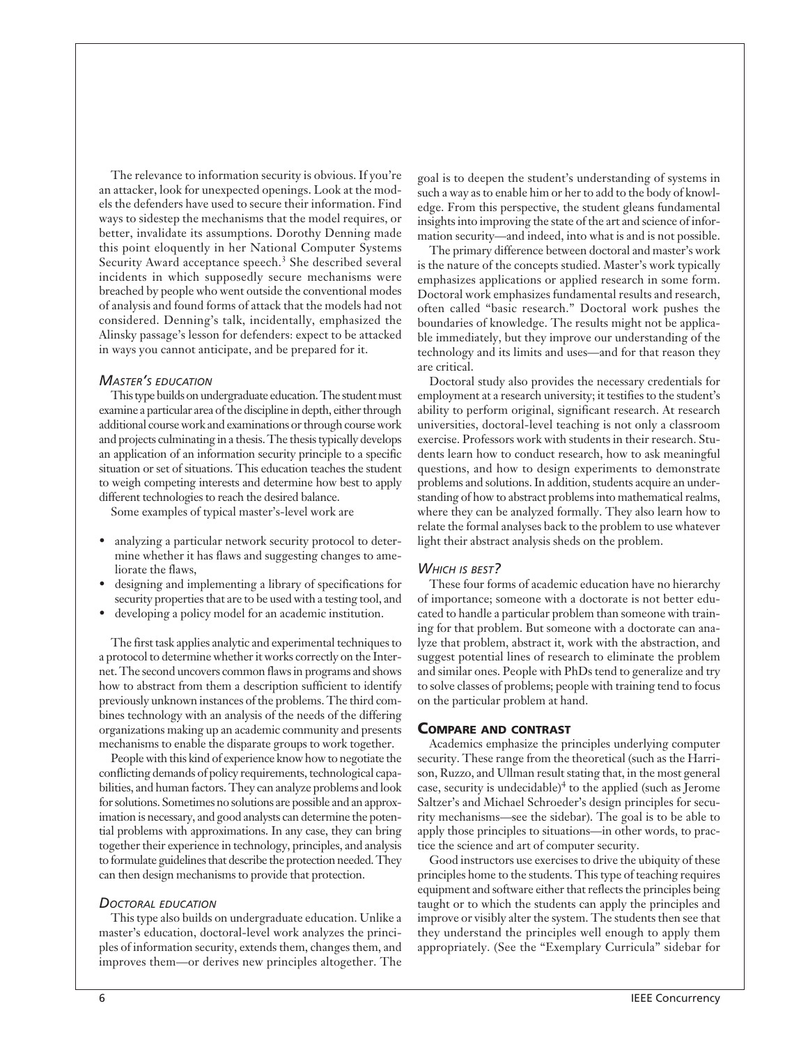The relevance to information security is obvious. If you're an attacker, look for unexpected openings. Look at the models the defenders have used to secure their information. Find ways to sidestep the mechanisms that the model requires, or better, invalidate its assumptions. Dorothy Denning made this point eloquently in her National Computer Systems Security Award acceptance speech.<sup>3</sup> She described several incidents in which supposedly secure mechanisms were breached by people who went outside the conventional modes of analysis and found forms of attack that the models had not considered. Denning's talk, incidentally, emphasized the Alinsky passage's lesson for defenders: expect to be attacked in ways you cannot anticipate, and be prepared for it.

#### *MASTER'S EDUCATION*

This type builds on undergraduate education. The student must examine a particular area of the discipline in depth, either through additional course work and examinations or through course work and projects culminating in a thesis. The thesis typically develops an application of an information security principle to a specific situation or set of situations. This education teaches the student to weigh competing interests and determine how best to apply different technologies to reach the desired balance.

Some examples of typical master's-level work are

- analyzing a particular network security protocol to determine whether it has flaws and suggesting changes to ameliorate the flaws,
- designing and implementing a library of specifications for security properties that are to be used with a testing tool, and
- developing a policy model for an academic institution.

The first task applies analytic and experimental techniques to a protocol to determine whether it works correctly on the Internet. The second uncovers common flaws in programs and shows how to abstract from them a description sufficient to identify previously unknown instances of the problems. The third combines technology with an analysis of the needs of the differing organizations making up an academic community and presents mechanisms to enable the disparate groups to work together.

People with this kind of experience know how to negotiate the conflicting demands of policy requirements, technological capabilities, and human factors. They can analyze problems and look for solutions. Sometimes no solutions are possible and an approximation is necessary, and good analysts can determine the potential problems with approximations. In any case, they can bring together their experience in technology, principles, and analysis to formulate guidelines that describe the protection needed. They can then design mechanisms to provide that protection.

#### *DOCTORAL EDUCATION*

This type also builds on undergraduate education. Unlike a master's education, doctoral-level work analyzes the principles of information security, extends them, changes them, and improves them—or derives new principles altogether. The goal is to deepen the student's understanding of systems in such a way as to enable him or her to add to the body of knowledge. From this perspective, the student gleans fundamental insights into improving the state of the art and science of information security—and indeed, into what is and is not possible.

The primary difference between doctoral and master's work is the nature of the concepts studied. Master's work typically emphasizes applications or applied research in some form. Doctoral work emphasizes fundamental results and research, often called "basic research." Doctoral work pushes the boundaries of knowledge. The results might not be applicable immediately, but they improve our understanding of the technology and its limits and uses—and for that reason they are critical.

Doctoral study also provides the necessary credentials for employment at a research university; it testifies to the student's ability to perform original, significant research. At research universities, doctoral-level teaching is not only a classroom exercise. Professors work with students in their research. Students learn how to conduct research, how to ask meaningful questions, and how to design experiments to demonstrate problems and solutions. In addition, students acquire an understanding of how to abstract problems into mathematical realms, where they can be analyzed formally. They also learn how to relate the formal analyses back to the problem to use whatever light their abstract analysis sheds on the problem.

#### *WHICH IS BEST?*

These four forms of academic education have no hierarchy of importance; someone with a doctorate is not better educated to handle a particular problem than someone with training for that problem. But someone with a doctorate can analyze that problem, abstract it, work with the abstraction, and suggest potential lines of research to eliminate the problem and similar ones. People with PhDs tend to generalize and try to solve classes of problems; people with training tend to focus on the particular problem at hand.

#### **COMPARE AND CONTRAST**

Academics emphasize the principles underlying computer security. These range from the theoretical (such as the Harrison, Ruzzo, and Ullman result stating that, in the most general case, security is undecidable) $4$  to the applied (such as Jerome Saltzer's and Michael Schroeder's design principles for security mechanisms—see the sidebar). The goal is to be able to apply those principles to situations—in other words, to practice the science and art of computer security.

Good instructors use exercises to drive the ubiquity of these principles home to the students. This type of teaching requires equipment and software either that reflects the principles being taught or to which the students can apply the principles and improve or visibly alter the system. The students then see that they understand the principles well enough to apply them appropriately. (See the "Exemplary Curricula" sidebar for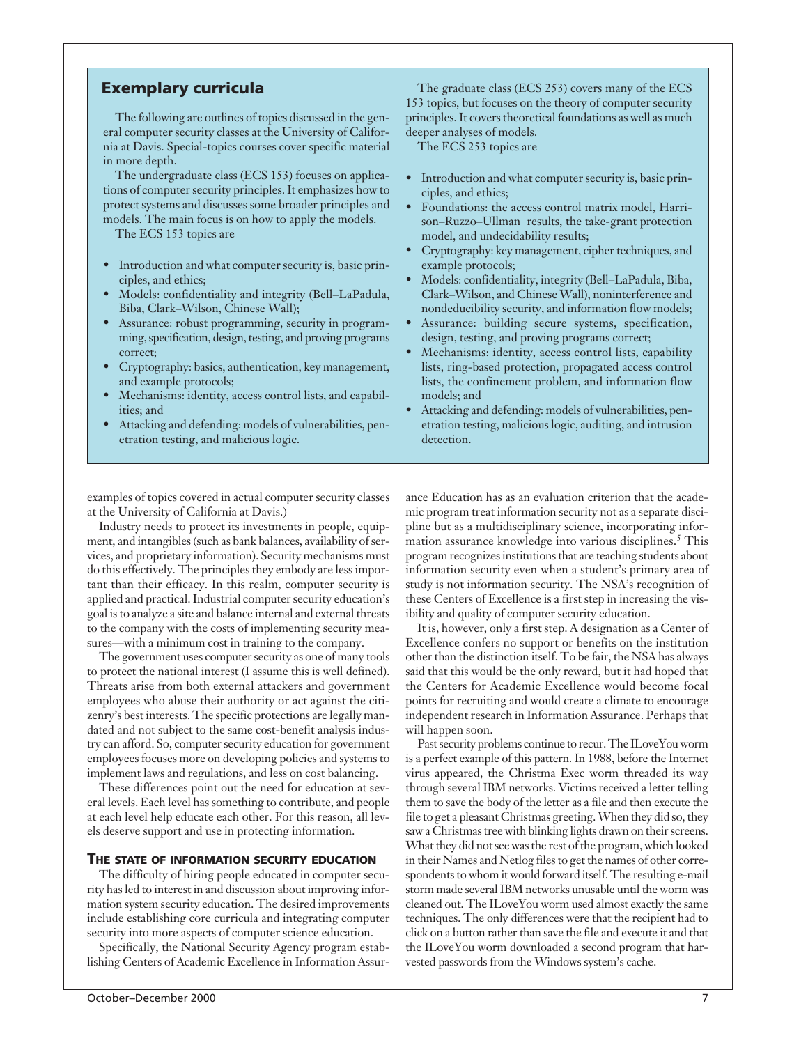# **Exemplary curricula**

The following are outlines of topics discussed in the general computer security classes at the University of California at Davis. Special-topics courses cover specific material in more depth.

The undergraduate class (ECS 153) focuses on applications of computer security principles. It emphasizes how to protect systems and discusses some broader principles and models. The main focus is on how to apply the models.

The ECS 153 topics are

- Introduction and what computer security is, basic principles, and ethics;
- Models: confidentiality and integrity (Bell–LaPadula, Biba, Clark–Wilson, Chinese Wall);
- Assurance: robust programming, security in programming, specification, design, testing, and proving programs correct;
- Cryptography: basics, authentication, key management, and example protocols;
- Mechanisms: identity, access control lists, and capabilities; and
- Attacking and defending: models of vulnerabilities, penetration testing, and malicious logic.

The graduate class (ECS 253) covers many of the ECS 153 topics, but focuses on the theory of computer security principles. It covers theoretical foundations as well as much deeper analyses of models.

The ECS 253 topics are

- Introduction and what computer security is, basic principles, and ethics;
- Foundations: the access control matrix model, Harrison–Ruzzo–Ullman results, the take-grant protection model, and undecidability results;
- Cryptography: key management, cipher techniques, and example protocols;
- Models: confidentiality, integrity (Bell–LaPadula, Biba, Clark–Wilson, and Chinese Wall), noninterference and nondeducibility security, and information flow models;
- Assurance: building secure systems, specification, design, testing, and proving programs correct;
- Mechanisms: identity, access control lists, capability lists, ring-based protection, propagated access control lists, the confinement problem, and information flow models; and
- Attacking and defending: models of vulnerabilities, penetration testing, malicious logic, auditing, and intrusion detection.

examples of topics covered in actual computer security classes at the University of California at Davis.)

Industry needs to protect its investments in people, equipment, and intangibles (such as bank balances, availability of services, and proprietary information). Security mechanisms must do this effectively. The principles they embody are less important than their efficacy. In this realm, computer security is applied and practical. Industrial computer security education's goal is to analyze a site and balance internal and external threats to the company with the costs of implementing security measures—with a minimum cost in training to the company.

The government uses computer security as one of many tools to protect the national interest (I assume this is well defined). Threats arise from both external attackers and government employees who abuse their authority or act against the citizenry's best interests. The specific protections are legally mandated and not subject to the same cost-benefit analysis industry can afford. So, computer security education for government employees focuses more on developing policies and systems to implement laws and regulations, and less on cost balancing.

These differences point out the need for education at several levels. Each level has something to contribute, and people at each level help educate each other. For this reason, all levels deserve support and use in protecting information.

#### **THE STATE OF INFORMATION SECURITY EDUCATION**

The difficulty of hiring people educated in computer security has led to interest in and discussion about improving information system security education. The desired improvements include establishing core curricula and integrating computer security into more aspects of computer science education.

Specifically, the National Security Agency program establishing Centers of Academic Excellence in Information Assurance Education has as an evaluation criterion that the academic program treat information security not as a separate discipline but as a multidisciplinary science, incorporating information assurance knowledge into various disciplines.<sup>5</sup> This program recognizes institutions that are teaching students about information security even when a student's primary area of study is not information security. The NSA's recognition of these Centers of Excellence is a first step in increasing the visibility and quality of computer security education.

It is, however, only a first step. A designation as a Center of Excellence confers no support or benefits on the institution other than the distinction itself. To be fair, the NSA has always said that this would be the only reward, but it had hoped that the Centers for Academic Excellence would become focal points for recruiting and would create a climate to encourage independent research in Information Assurance. Perhaps that will happen soon.

Past security problems continue to recur. The ILoveYou worm is a perfect example of this pattern. In 1988, before the Internet virus appeared, the Christma Exec worm threaded its way through several IBM networks. Victims received a letter telling them to save the body of the letter as a file and then execute the file to get a pleasant Christmas greeting. When they did so, they saw a Christmas tree with blinking lights drawn on their screens. What they did not see was the rest of the program, which looked in their Names and Netlog files to get the names of other correspondents to whom it would forward itself. The resulting e-mail storm made several IBM networks unusable until the worm was cleaned out. The ILoveYou worm used almost exactly the same techniques. The only differences were that the recipient had to click on a button rather than save the file and execute it and that the ILoveYou worm downloaded a second program that harvested passwords from the Windows system's cache.